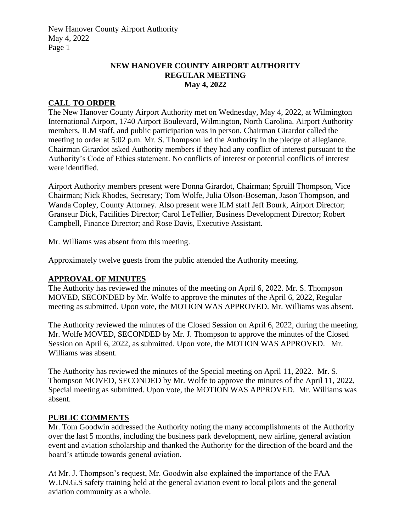#### **NEW HANOVER COUNTY AIRPORT AUTHORITY REGULAR MEETING May 4, 2022**

#### **CALL TO ORDER**

The New Hanover County Airport Authority met on Wednesday, May 4, 2022, at Wilmington International Airport, 1740 Airport Boulevard, Wilmington, North Carolina. Airport Authority members, ILM staff, and public participation was in person. Chairman Girardot called the meeting to order at 5:02 p.m. Mr. S. Thompson led the Authority in the pledge of allegiance. Chairman Girardot asked Authority members if they had any conflict of interest pursuant to the Authority's Code of Ethics statement. No conflicts of interest or potential conflicts of interest were identified.

Airport Authority members present were Donna Girardot, Chairman; Spruill Thompson, Vice Chairman; Nick Rhodes, Secretary; Tom Wolfe, Julia Olson-Boseman, Jason Thompson, and Wanda Copley, County Attorney. Also present were ILM staff Jeff Bourk, Airport Director; Granseur Dick, Facilities Director; Carol LeTellier, Business Development Director; Robert Campbell, Finance Director; and Rose Davis, Executive Assistant.

Mr. Williams was absent from this meeting.

Approximately twelve guests from the public attended the Authority meeting.

#### **APPROVAL OF MINUTES**

The Authority has reviewed the minutes of the meeting on April 6, 2022. Mr. S. Thompson MOVED, SECONDED by Mr. Wolfe to approve the minutes of the April 6, 2022, Regular meeting as submitted. Upon vote, the MOTION WAS APPROVED. Mr. Williams was absent.

The Authority reviewed the minutes of the Closed Session on April 6, 2022, during the meeting. Mr. Wolfe MOVED, SECONDED by Mr. J. Thompson to approve the minutes of the Closed Session on April 6, 2022, as submitted. Upon vote, the MOTION WAS APPROVED. Mr. Williams was absent.

The Authority has reviewed the minutes of the Special meeting on April 11, 2022. Mr. S. Thompson MOVED, SECONDED by Mr. Wolfe to approve the minutes of the April 11, 2022, Special meeting as submitted. Upon vote, the MOTION WAS APPROVED. Mr. Williams was absent.

#### **PUBLIC COMMENTS**

Mr. Tom Goodwin addressed the Authority noting the many accomplishments of the Authority over the last 5 months, including the business park development, new airline, general aviation event and aviation scholarship and thanked the Authority for the direction of the board and the board's attitude towards general aviation.

At Mr. J. Thompson's request, Mr. Goodwin also explained the importance of the FAA W.I.N.G.S safety training held at the general aviation event to local pilots and the general aviation community as a whole.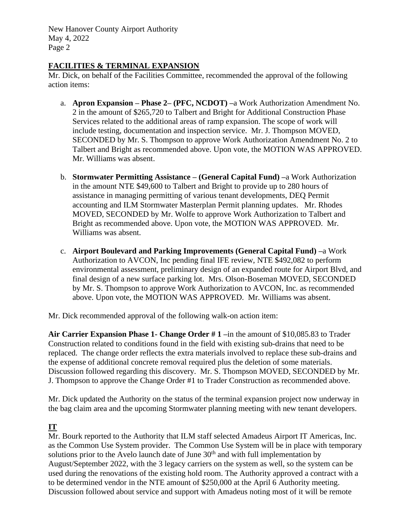#### **FACILITIES & TERMINAL EXPANSION**

Mr. Dick, on behalf of the Facilities Committee, recommended the approval of the following action items:

- a. **Apron Expansion – Phase 2– (PFC, NCDOT) –**a Work Authorization Amendment No. 2 in the amount of \$265,720 to Talbert and Bright for Additional Construction Phase Services related to the additional areas of ramp expansion. The scope of work will include testing, documentation and inspection service. Mr. J. Thompson MOVED, SECONDED by Mr. S. Thompson to approve Work Authorization Amendment No. 2 to Talbert and Bright as recommended above. Upon vote, the MOTION WAS APPROVED. Mr. Williams was absent.
- b. **Stormwater Permitting Assistance – (General Capital Fund) –**a Work Authorization in the amount NTE \$49,600 to Talbert and Bright to provide up to 280 hours of assistance in managing permitting of various tenant developments, DEQ Permit accounting and ILM Stormwater Masterplan Permit planning updates. Mr. Rhodes MOVED, SECONDED by Mr. Wolfe to approve Work Authorization to Talbert and Bright as recommended above. Upon vote, the MOTION WAS APPROVED. Mr. Williams was absent.
- c. **Airport Boulevard and Parking Improvements (General Capital Fund) –**a Work Authorization to AVCON, Inc pending final IFE review, NTE \$492,082 to perform environmental assessment, preliminary design of an expanded route for Airport Blvd, and final design of a new surface parking lot. Mrs. Olson-Boseman MOVED, SECONDED by Mr. S. Thompson to approve Work Authorization to AVCON, Inc. as recommended above. Upon vote, the MOTION WAS APPROVED. Mr. Williams was absent.

Mr. Dick recommended approval of the following walk-on action item:

**Air Carrier Expansion Phase 1- Change Order # 1 –**in the amount of \$10,085.83 to Trader Construction related to conditions found in the field with existing sub-drains that need to be replaced. The change order reflects the extra materials involved to replace these sub-drains and the expense of additional concrete removal required plus the deletion of some materials. Discussion followed regarding this discovery. Mr. S. Thompson MOVED, SECONDED by Mr. J. Thompson to approve the Change Order #1 to Trader Construction as recommended above.

Mr. Dick updated the Authority on the status of the terminal expansion project now underway in the bag claim area and the upcoming Stormwater planning meeting with new tenant developers.

# **IT**

Mr. Bourk reported to the Authority that ILM staff selected Amadeus Airport IT Americas, Inc. as the Common Use System provider. The Common Use System will be in place with temporary solutions prior to the Avelo launch date of June  $30<sup>th</sup>$  and with full implementation by August/September 2022, with the 3 legacy carriers on the system as well, so the system can be used during the renovations of the existing hold room. The Authority approved a contract with a to be determined vendor in the NTE amount of \$250,000 at the April 6 Authority meeting. Discussion followed about service and support with Amadeus noting most of it will be remote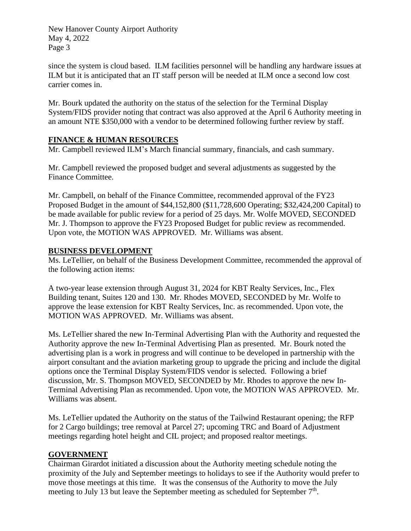since the system is cloud based. ILM facilities personnel will be handling any hardware issues at ILM but it is anticipated that an IT staff person will be needed at ILM once a second low cost carrier comes in.

Mr. Bourk updated the authority on the status of the selection for the Terminal Display System/FIDS provider noting that contract was also approved at the April 6 Authority meeting in an amount NTE \$350,000 with a vendor to be determined following further review by staff.

## **FINANCE & HUMAN RESOURCES**

Mr. Campbell reviewed ILM's March financial summary, financials, and cash summary.

Mr. Campbell reviewed the proposed budget and several adjustments as suggested by the Finance Committee.

Mr. Campbell, on behalf of the Finance Committee, recommended approval of the FY23 Proposed Budget in the amount of \$44,152,800 (\$11,728,600 Operating; \$32,424,200 Capital) to be made available for public review for a period of 25 days. Mr. Wolfe MOVED, SECONDED Mr. J. Thompson to approve the FY23 Proposed Budget for public review as recommended. Upon vote, the MOTION WAS APPROVED. Mr. Williams was absent.

#### **BUSINESS DEVELOPMENT**

Ms. LeTellier, on behalf of the Business Development Committee, recommended the approval of the following action items:

A two-year lease extension through August 31, 2024 for KBT Realty Services, Inc., Flex Building tenant, Suites 120 and 130. Mr. Rhodes MOVED, SECONDED by Mr. Wolfe to approve the lease extension for KBT Realty Services, Inc. as recommended. Upon vote, the MOTION WAS APPROVED. Mr. Williams was absent.

Ms. LeTellier shared the new In-Terminal Advertising Plan with the Authority and requested the Authority approve the new In-Terminal Advertising Plan as presented. Mr. Bourk noted the advertising plan is a work in progress and will continue to be developed in partnership with the airport consultant and the aviation marketing group to upgrade the pricing and include the digital options once the Terminal Display System/FIDS vendor is selected. Following a brief discussion, Mr. S. Thompson MOVED, SECONDED by Mr. Rhodes to approve the new In-Terminal Advertising Plan as recommended. Upon vote, the MOTION WAS APPROVED. Mr. Williams was absent.

Ms. LeTellier updated the Authority on the status of the Tailwind Restaurant opening; the RFP for 2 Cargo buildings; tree removal at Parcel 27; upcoming TRC and Board of Adjustment meetings regarding hotel height and CIL project; and proposed realtor meetings.

#### **GOVERNMENT**

Chairman Girardot initiated a discussion about the Authority meeting schedule noting the proximity of the July and September meetings to holidays to see if the Authority would prefer to move those meetings at this time. It was the consensus of the Authority to move the July meeting to July 13 but leave the September meeting as scheduled for September  $7<sup>th</sup>$ .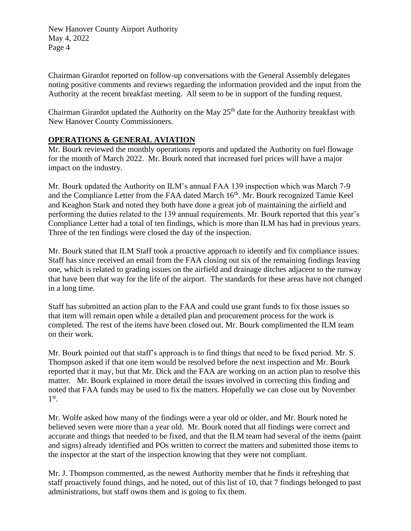Chairman Girardot reported on follow-up conversations with the General Assembly delegates noting positive comments and reviews regarding the information provided and the input from the Authority at the recent breakfast meeting. All seem to be in support of the funding request.

Chairman Girardot updated the Authority on the May 25<sup>th</sup> date for the Authority breakfast with New Hanover County Commissioners.

## **OPERATIONS & GENERAL AVIATION**

Mr. Bourk reviewed the monthly operations reports and updated the Authority on fuel flowage for the month of March 2022. Mr. Bourk noted that increased fuel prices will have a major impact on the industry.

Mr. Bourk updated the Authority on ILM's annual FAA 139 inspection which was March 7-9 and the Compliance Letter from the FAA dated March 16<sup>th</sup>. Mr. Bourk recognized Tamie Keel and Keaghon Stark and noted they both have done a great job of maintaining the airfield and performing the duties related to the 139 annual requirements. Mr. Bourk reported that this year's Compliance Letter had a total of ten findings, which is more than ILM has had in previous years. Three of the ten findings were closed the day of the inspection.

Mr. Bourk stated that ILM Staff took a proactive approach to identify and fix compliance issues. Staff has since received an email from the FAA closing out six of the remaining findings leaving one, which is related to grading issues on the airfield and drainage ditches adjacent to the runway that have been that way for the life of the airport. The standards for these areas have not changed in a long time.

Staff has submitted an action plan to the FAA and could use grant funds to fix those issues so that item will remain open while a detailed plan and procurement process for the work is completed. The rest of the items have been closed out. Mr. Bourk complimented the ILM team on their work.

Mr. Bourk pointed out that staff's approach is to find things that need to be fixed period. Mr. S. Thompson asked if that one item would be resolved before the next inspection and Mr. Bourk reported that it may, but that Mr. Dick and the FAA are working on an action plan to resolve this matter. Mr. Bourk explained in more detail the issues involved in correcting this finding and noted that FAA funds may be used to fix the matters. Hopefully we can close out by November 1 st .

Mr. Wolfe asked how many of the findings were a year old or older, and Mr. Bourk noted he believed seven were more than a year old. Mr. Bourk noted that all findings were correct and accurate and things that needed to be fixed, and that the ILM team had several of the items (paint and signs) already identified and POs written to correct the matters and submitted those items to the inspector at the start of the inspection knowing that they were not compliant.

Mr. J. Thompson commented, as the newest Authority member that he finds it refreshing that staff proactively found things, and he noted, out of this list of 10, that 7 findings belonged to past administrations, but staff owns them and is going to fix them.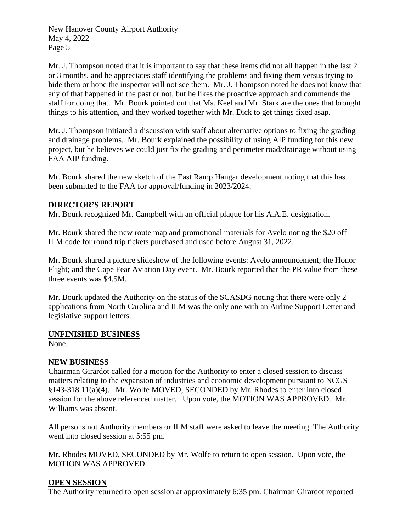Mr. J. Thompson noted that it is important to say that these items did not all happen in the last 2 or 3 months, and he appreciates staff identifying the problems and fixing them versus trying to hide them or hope the inspector will not see them. Mr. J. Thompson noted he does not know that any of that happened in the past or not, but he likes the proactive approach and commends the staff for doing that. Mr. Bourk pointed out that Ms. Keel and Mr. Stark are the ones that brought things to his attention, and they worked together with Mr. Dick to get things fixed asap.

Mr. J. Thompson initiated a discussion with staff about alternative options to fixing the grading and drainage problems. Mr. Bourk explained the possibility of using AIP funding for this new project, but he believes we could just fix the grading and perimeter road/drainage without using FAA AIP funding.

Mr. Bourk shared the new sketch of the East Ramp Hangar development noting that this has been submitted to the FAA for approval/funding in 2023/2024.

## **DIRECTOR'S REPORT**

Mr. Bourk recognized Mr. Campbell with an official plaque for his A.A.E. designation.

Mr. Bourk shared the new route map and promotional materials for Avelo noting the \$20 off ILM code for round trip tickets purchased and used before August 31, 2022.

Mr. Bourk shared a picture slideshow of the following events: Avelo announcement; the Honor Flight; and the Cape Fear Aviation Day event. Mr. Bourk reported that the PR value from these three events was \$4.5M.

Mr. Bourk updated the Authority on the status of the SCASDG noting that there were only 2 applications from North Carolina and ILM was the only one with an Airline Support Letter and legislative support letters.

#### **UNFINISHED BUSINESS**

None.

#### **NEW BUSINESS**

Chairman Girardot called for a motion for the Authority to enter a closed session to discuss matters relating to the expansion of industries and economic development pursuant to NCGS §143-318.11(a)(4). Mr. Wolfe MOVED, SECONDED by Mr. Rhodes to enter into closed session for the above referenced matter. Upon vote, the MOTION WAS APPROVED. Mr. Williams was absent.

All persons not Authority members or ILM staff were asked to leave the meeting. The Authority went into closed session at 5:55 pm.

Mr. Rhodes MOVED, SECONDED by Mr. Wolfe to return to open session. Upon vote, the MOTION WAS APPROVED.

#### **OPEN SESSION**

The Authority returned to open session at approximately 6:35 pm. Chairman Girardot reported